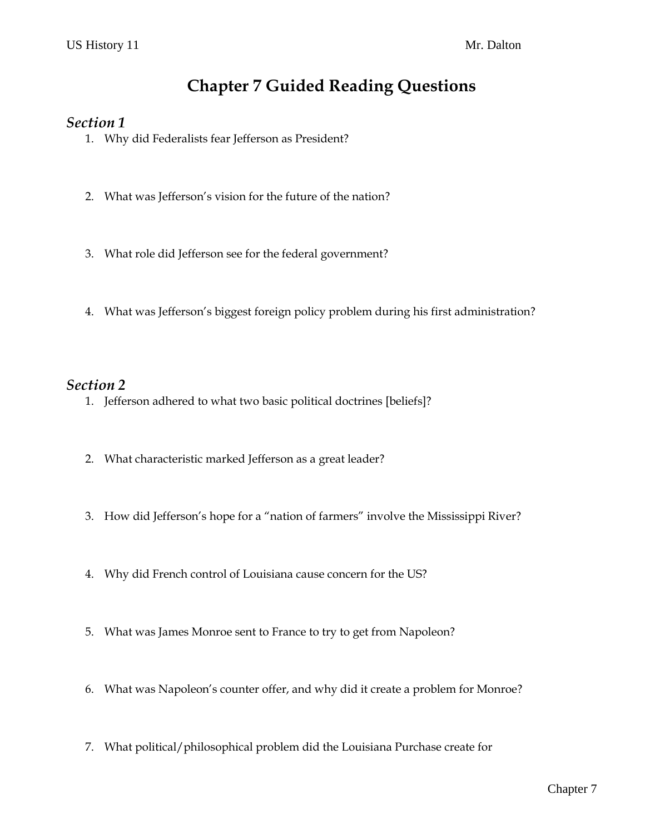# **Chapter 7 Guided Reading Questions**

### *Section 1*

- 1. Why did Federalists fear Jefferson as President?
- 2. What was Jefferson's vision for the future of the nation?
- 3. What role did Jefferson see for the federal government?
- 4. What was Jefferson's biggest foreign policy problem during his first administration?

### *Section 2*

- 1. Jefferson adhered to what two basic political doctrines [beliefs]?
- 2. What characteristic marked Jefferson as a great leader?
- 3. How did Jefferson's hope for a "nation of farmers" involve the Mississippi River?
- 4. Why did French control of Louisiana cause concern for the US?
- 5. What was James Monroe sent to France to try to get from Napoleon?
- 6. What was Napoleon's counter offer, and why did it create a problem for Monroe?
- 7. What political/philosophical problem did the Louisiana Purchase create for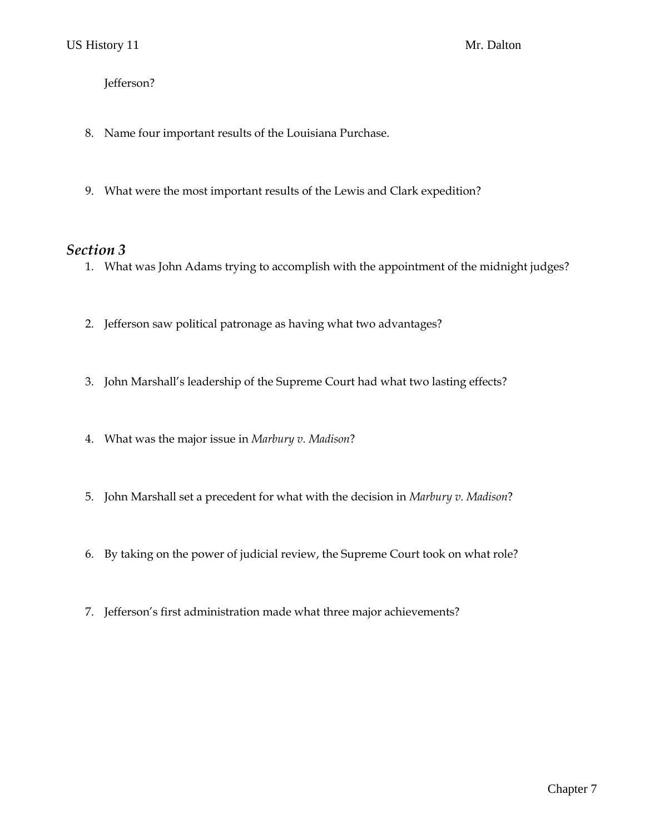#### Jefferson?

- 8. Name four important results of the Louisiana Purchase.
- 9. What were the most important results of the Lewis and Clark expedition?

#### *Section 3*

- 1. What was John Adams trying to accomplish with the appointment of the midnight judges?
- 2. Jefferson saw political patronage as having what two advantages?
- 3. John Marshall's leadership of the Supreme Court had what two lasting effects?
- 4. What was the major issue in *Marbury v. Madison*?
- 5. John Marshall set a precedent for what with the decision in *Marbury v. Madison*?
- 6. By taking on the power of judicial review, the Supreme Court took on what role?
- 7. Jefferson's first administration made what three major achievements?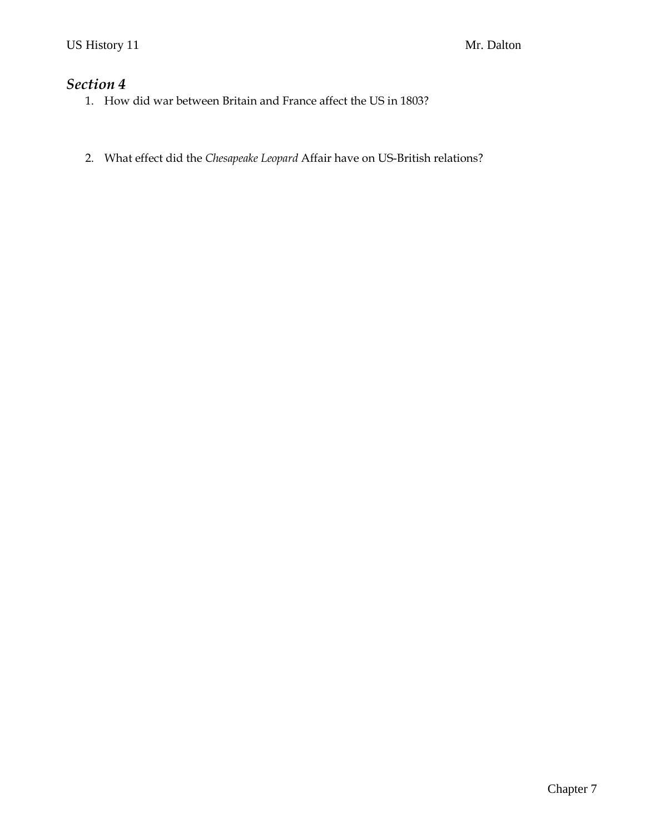### *Section 4*

- 1. How did war between Britain and France affect the US in 1803?
- 2. What effect did the *Chesapeake Leopard* Affair have on US-British relations?